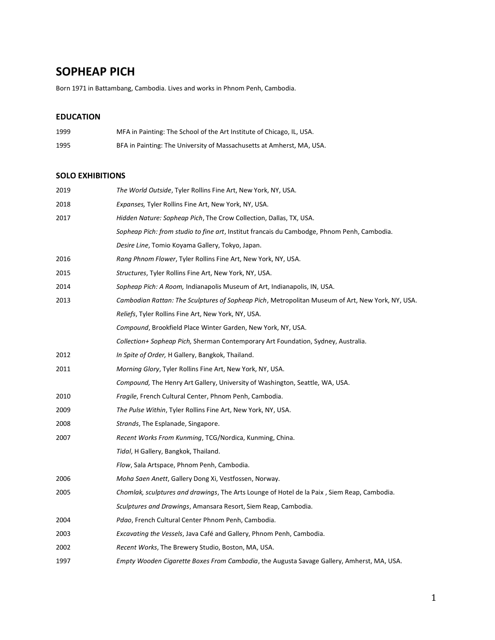# **SOPHEAP PICH**

Born 1971 in Battambang, Cambodia. Lives and works in Phnom Penh, Cambodia.

## **EDUCATION**

| 1999 | MFA in Painting: The School of the Art Institute of Chicago, IL, USA. |
|------|-----------------------------------------------------------------------|
| 1995 | BFA in Painting: The University of Massachusetts at Amherst, MA, USA. |

#### **SOLO EXHIBITIONS**

| 2019 | The World Outside, Tyler Rollins Fine Art, New York, NY, USA.                                    |
|------|--------------------------------------------------------------------------------------------------|
| 2018 | <i>Expanses</i> , Tyler Rollins Fine Art, New York, NY, USA.                                     |
| 2017 | Hidden Nature: Sopheap Pich, The Crow Collection, Dallas, TX, USA.                               |
|      | Sopheap Pich: from studio to fine art, Institut francais du Cambodge, Phnom Penh, Cambodia.      |
|      | Desire Line, Tomio Koyama Gallery, Tokyo, Japan.                                                 |
| 2016 | Rang Phnom Flower, Tyler Rollins Fine Art, New York, NY, USA.                                    |
| 2015 | Structures, Tyler Rollins Fine Art, New York, NY, USA.                                           |
| 2014 | Sopheap Pich: A Room, Indianapolis Museum of Art, Indianapolis, IN, USA.                         |
| 2013 | Cambodian Rattan: The Sculptures of Sopheap Pich, Metropolitan Museum of Art, New York, NY, USA. |
|      | Reliefs, Tyler Rollins Fine Art, New York, NY, USA.                                              |
|      | Compound, Brookfield Place Winter Garden, New York, NY, USA.                                     |
|      | Collection+ Sopheap Pich, Sherman Contemporary Art Foundation, Sydney, Australia.                |
| 2012 | In Spite of Order, H Gallery, Bangkok, Thailand.                                                 |
| 2011 | Morning Glory, Tyler Rollins Fine Art, New York, NY, USA.                                        |
|      | Compound, The Henry Art Gallery, University of Washington, Seattle, WA, USA.                     |
| 2010 | Fragile, French Cultural Center, Phnom Penh, Cambodia.                                           |
| 2009 | The Pulse Within, Tyler Rollins Fine Art, New York, NY, USA.                                     |
| 2008 | Strands, The Esplanade, Singapore.                                                               |
| 2007 | Recent Works From Kunming, TCG/Nordica, Kunming, China.                                          |
|      | Tidal, H Gallery, Bangkok, Thailand.                                                             |
|      | Flow, Sala Artspace, Phnom Penh, Cambodia.                                                       |
| 2006 | Moha Saen Anett, Gallery Dong Xi, Vestfossen, Norway.                                            |
| 2005 | Chomlak, sculptures and drawings, The Arts Lounge of Hotel de la Paix, Siem Reap, Cambodia.      |
|      | Sculptures and Drawings, Amansara Resort, Siem Reap, Cambodia.                                   |
| 2004 | Pdao, French Cultural Center Phnom Penh, Cambodia.                                               |
| 2003 | <i>Excavating the Vessels, Java Café and Gallery, Phnom Penh, Cambodia.</i>                      |
| 2002 | Recent Works, The Brewery Studio, Boston, MA, USA.                                               |
| 1997 | Empty Wooden Cigarette Boxes From Cambodia, the Augusta Savage Gallery, Amherst, MA, USA.        |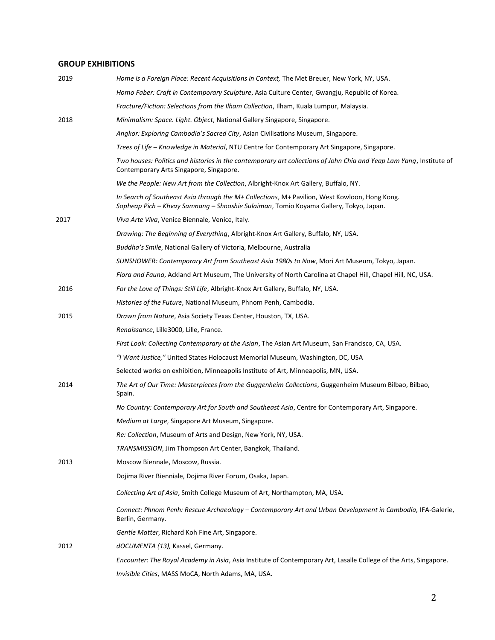### **GROUP EXHIBITIONS**

| 2019 | Home is a Foreign Place: Recent Acquisitions in Context, The Met Breuer, New York, NY, USA.                                                                                            |
|------|----------------------------------------------------------------------------------------------------------------------------------------------------------------------------------------|
|      | Homo Faber: Craft in Contemporary Sculpture, Asia Culture Center, Gwangju, Republic of Korea.                                                                                          |
|      | Fracture/Fiction: Selections from the Ilham Collection, Ilham, Kuala Lumpur, Malaysia.                                                                                                 |
| 2018 | Minimalism: Space. Light. Object, National Gallery Singapore, Singapore.                                                                                                               |
|      | Angkor: Exploring Cambodia's Sacred City, Asian Civilisations Museum, Singapore.                                                                                                       |
|      | Trees of Life - Knowledge in Material, NTU Centre for Contemporary Art Singapore, Singapore.                                                                                           |
|      | Two houses: Politics and histories in the contemporary art collections of John Chia and Yeap Lam Yang, Institute of<br>Contemporary Arts Singapore, Singapore.                         |
|      | We the People: New Art from the Collection, Albright-Knox Art Gallery, Buffalo, NY.                                                                                                    |
|      | In Search of Southeast Asia through the M+ Collections, M+ Pavilion, West Kowloon, Hong Kong.<br>Sopheap Pich - Khvay Samnang - Shooshie Sulaiman, Tomio Koyama Gallery, Tokyo, Japan. |
| 2017 | Viva Arte Viva, Venice Biennale, Venice, Italy.                                                                                                                                        |
|      | Drawing: The Beginning of Everything, Albright-Knox Art Gallery, Buffalo, NY, USA.                                                                                                     |
|      | Buddha's Smile, National Gallery of Victoria, Melbourne, Australia                                                                                                                     |
|      | SUNSHOWER: Contemporary Art from Southeast Asia 1980s to Now, Mori Art Museum, Tokyo, Japan.                                                                                           |
|      | Flora and Fauna, Ackland Art Museum, The University of North Carolina at Chapel Hill, Chapel Hill, NC, USA.                                                                            |
| 2016 | For the Love of Things: Still Life, Albright-Knox Art Gallery, Buffalo, NY, USA.                                                                                                       |
|      | Histories of the Future, National Museum, Phnom Penh, Cambodia.                                                                                                                        |
| 2015 | Drawn from Nature, Asia Society Texas Center, Houston, TX, USA.                                                                                                                        |
|      | Renaissance, Lille3000, Lille, France.                                                                                                                                                 |
|      | First Look: Collecting Contemporary at the Asian, The Asian Art Museum, San Francisco, CA, USA.                                                                                        |
|      | "I Want Justice," United States Holocaust Memorial Museum, Washington, DC, USA                                                                                                         |
|      | Selected works on exhibition, Minneapolis Institute of Art, Minneapolis, MN, USA.                                                                                                      |
| 2014 | The Art of Our Time: Masterpieces from the Guggenheim Collections, Guggenheim Museum Bilbao, Bilbao,<br>Spain.                                                                         |
|      | No Country: Contemporary Art for South and Southeast Asia, Centre for Contemporary Art, Singapore.                                                                                     |
|      | Medium at Large, Singapore Art Museum, Singapore.                                                                                                                                      |
|      | Re: Collection, Museum of Arts and Design, New York, NY, USA.                                                                                                                          |
|      | TRANSMISSION, Jim Thompson Art Center, Bangkok, Thailand.                                                                                                                              |
| 2013 | Moscow Biennale, Moscow, Russia.                                                                                                                                                       |
|      | Dojima River Bienniale, Dojima River Forum, Osaka, Japan.                                                                                                                              |
|      | Collecting Art of Asia, Smith College Museum of Art, Northampton, MA, USA.                                                                                                             |
|      | Connect: Phnom Penh: Rescue Archaeology – Contemporary Art and Urban Development in Cambodia, IFA-Galerie,<br>Berlin, Germany.                                                         |
|      | Gentle Matter, Richard Koh Fine Art, Singapore.                                                                                                                                        |
| 2012 | dOCUMENTA (13), Kassel, Germany.                                                                                                                                                       |
|      | Encounter: The Royal Academy in Asia, Asia Institute of Contemporary Art, Lasalle College of the Arts, Singapore.                                                                      |
|      | Invisible Cities, MASS MoCA, North Adams, MA, USA.                                                                                                                                     |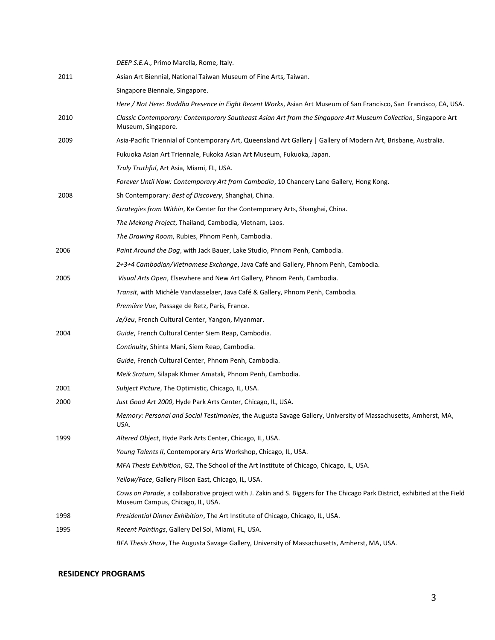|      | DEEP S.E.A., Primo Marella, Rome, Italy.                                                                                                                       |
|------|----------------------------------------------------------------------------------------------------------------------------------------------------------------|
| 2011 | Asian Art Biennial, National Taiwan Museum of Fine Arts, Taiwan.                                                                                               |
|      | Singapore Biennale, Singapore.                                                                                                                                 |
|      | Here / Not Here: Buddha Presence in Eight Recent Works, Asian Art Museum of San Francisco, San Francisco, CA, USA.                                             |
| 2010 | Classic Contemporary: Contemporary Southeast Asian Art from the Singapore Art Museum Collection, Singapore Art<br>Museum, Singapore.                           |
| 2009 | Asia-Pacific Triennial of Contemporary Art, Queensland Art Gallery   Gallery of Modern Art, Brisbane, Australia.                                               |
|      | Fukuoka Asian Art Triennale, Fukoka Asian Art Museum, Fukuoka, Japan.                                                                                          |
|      | Truly Truthful, Art Asia, Miami, FL, USA.                                                                                                                      |
|      | Forever Until Now: Contemporary Art from Cambodia, 10 Chancery Lane Gallery, Hong Kong.                                                                        |
| 2008 | Sh Contemporary: Best of Discovery, Shanghai, China.                                                                                                           |
|      | <i>Strategies from Within, Ke Center for the Contemporary Arts, Shanghai, China.</i>                                                                           |
|      | The Mekong Project, Thailand, Cambodia, Vietnam, Laos.                                                                                                         |
|      | The Drawing Room, Rubies, Phnom Penh, Cambodia.                                                                                                                |
| 2006 | Paint Around the Dog, with Jack Bauer, Lake Studio, Phnom Penh, Cambodia.                                                                                      |
|      | 2+3+4 Cambodian/Vietnamese Exchange, Java Café and Gallery, Phnom Penh, Cambodia.                                                                              |
| 2005 | Visual Arts Open, Elsewhere and New Art Gallery, Phnom Penh, Cambodia.                                                                                         |
|      | Transit, with Michèle Vanvlasselaer, Java Café & Gallery, Phnom Penh, Cambodia.                                                                                |
|      | Première Vue, Passage de Retz, Paris, France.                                                                                                                  |
|      | Je/Jeu, French Cultural Center, Yangon, Myanmar.                                                                                                               |
| 2004 | Guide, French Cultural Center Siem Reap, Cambodia.                                                                                                             |
|      | Continuity, Shinta Mani, Siem Reap, Cambodia.                                                                                                                  |
|      | Guide, French Cultural Center, Phnom Penh, Cambodia.                                                                                                           |
|      | <i>Meik Sratum, Silapak Khmer Amatak, Phnom Penh, Cambodia.</i>                                                                                                |
| 2001 | Subject Picture, The Optimistic, Chicago, IL, USA.                                                                                                             |
| 2000 | Just Good Art 2000, Hyde Park Arts Center, Chicago, IL, USA.                                                                                                   |
|      | Memory: Personal and Social Testimonies, the Augusta Savage Gallery, University of Massachusetts, Amherst, MA,<br>USA.                                         |
| 1999 | Altered Object, Hyde Park Arts Center, Chicago, IL, USA.                                                                                                       |
|      | Young Talents II, Contemporary Arts Workshop, Chicago, IL, USA.                                                                                                |
|      | MFA Thesis Exhibition, G2, The School of the Art Institute of Chicago, Chicago, IL, USA.                                                                       |
|      | Yellow/Face, Gallery Pilson East, Chicago, IL, USA.                                                                                                            |
|      | Cows on Parade, a collaborative project with J. Zakin and S. Biggers for The Chicago Park District, exhibited at the Field<br>Museum Campus, Chicago, IL, USA. |
| 1998 | Presidential Dinner Exhibition, The Art Institute of Chicago, Chicago, IL, USA.                                                                                |
| 1995 | Recent Paintings, Gallery Del Sol, Miami, FL, USA.                                                                                                             |
|      | BFA Thesis Show, The Augusta Savage Gallery, University of Massachusetts, Amherst, MA, USA.                                                                    |

#### **RESIDENCY PROGRAMS**